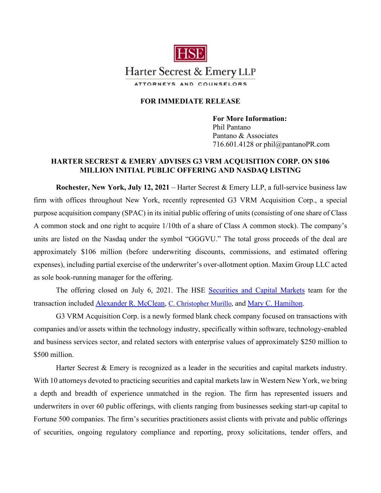

## **FOR IMMEDIATE RELEASE**

**For More Information:**  Phil Pantano Pantano & Associates 716.601.4128 or phil@pantanoPR.com

## **HARTER SECREST & EMERY ADVISES G3 VRM ACQUISITION CORP. ON \$106 MILLION INITIAL PUBLIC OFFERING AND NASDAQ LISTING**

**Rochester, New York, July 12, 2021** – Harter Secrest & Emery LLP, a full-service business law firm with offices throughout New York, recently represented G3 VRM Acquisition Corp., a special purpose acquisition company (SPAC) in its initial public offering of units (consisting of one share of Class A common stock and one right to acquire 1/10th of a share of Class A common stock). The company's units are listed on the Nasdaq under the symbol "GGGVU." The total gross proceeds of the deal are approximately \$106 million (before underwriting discounts, commissions, and estimated offering expenses), including partial exercise of the underwriter's over-allotment option. Maxim Group LLC acted as sole book-running manager for the offering.

The offering closed on July 6, 2021. The HSE [Securities and Capital Markets](https://www.hselaw.com/practice-areas/securities-and-capital-markets) team for the transaction included [Alexander R. McClean,](https://www.hselaw.com/people/157-alexander-r-mcclean) [C. Christopher Murillo,](https://hselaw.com/people/313-c--christopher-murillo) and [Mary C. Hamilton.](https://www.hselaw.com/people/319-mary-c-hamilton)

G3 VRM Acquisition Corp. is a newly formed blank check company focused on transactions with companies and/or assets within the technology industry, specifically within software, technology-enabled and business services sector, and related sectors with enterprise values of approximately \$250 million to \$500 million.

Harter Secrest & Emery is recognized as a leader in the securities and capital markets industry. With 10 attorneys devoted to practicing securities and capital markets law in Western New York, we bring a depth and breadth of experience unmatched in the region. The firm has represented issuers and underwriters in over 60 public offerings, with clients ranging from businesses seeking start-up capital to Fortune 500 companies. The firm's securities practitioners assist clients with private and public offerings of securities, ongoing regulatory compliance and reporting, proxy solicitations, tender offers, and